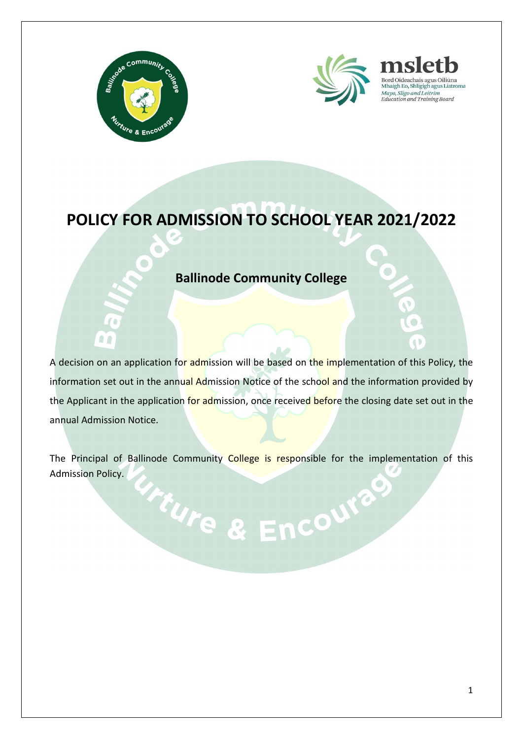



### Education and Training Board

### **POLICY FOR ADMISSION TO SCHOOL YEAR 2021/2022**

#### **Ballinode Community College**

A decision on an application for admission will be based on the implementation of this Policy, the information set out in the annual Admission Notice of the school and the information provided by the Applicant in the application for admission, once received before the closing date set out in the annual Admission Notice.

The Principal of Ballinode Community College is responsible for the implementation of this Admission Policy. Trure & Encourage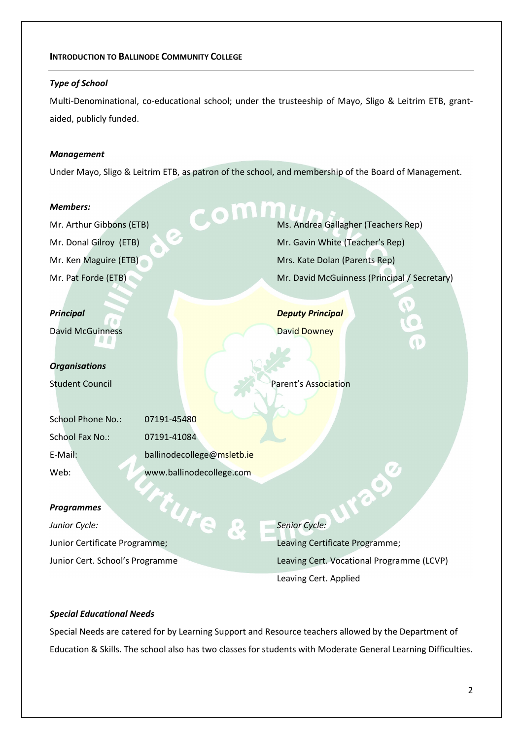#### **INTRODUCTION TO BALLINODE COMMUNITY COLLEGE**

#### *Type of School*

Multi-Denominational, co-educational school; under the trusteeship of Mayo, Sligo & Leitrim ETB, grantaided, publicly funded.

#### *Management*

Under Mayo, Sligo & Leitrim ETB, as patron of the school, and membership of the Board of Management.

#### *Members:*

Mr. Arthur Gibbons (ETB) Mr. Donal Gilroy (ETB) Mr. Ken Maguire (ETB) Mr. Pat Forde (ETB)

#### *Principal*

David McGuinness

#### *Organisations*

| <b>School Phone No.:</b> | 07191-45480                |
|--------------------------|----------------------------|
| School Fax No.:          | 07191-41084                |
| E-Mail:                  | ballinodecollege@msletb.ie |
| Web:                     | www.ballinodecollege.com   |

#### *Programmes*

*Junior Cycle:*  Programmes<br>
Junior Cycle:<br>
Junior Certificate Programme; Junior Cert. School's Programme

Ms. Andrea Gallagher (Teachers Rep) Mr. Gavin White (Teacher's Rep) Mrs. Kate Dolan (Parents Rep) Mr. David McGuinness (Principal / Secretary)

*Deputy Principal* David Downey

**Student Council Parent's Association** 

*Senior Cycle:* Leaving Certificate Programme; Leaving Cert. Vocational Programme (LCVP) Leaving Cert. Applied

rac

#### *Special Educational Needs*

Special Needs are catered for by Learning Support and Resource teachers allowed by the Department of Education & Skills. The school also has two classes for students with Moderate General Learning Difficulties.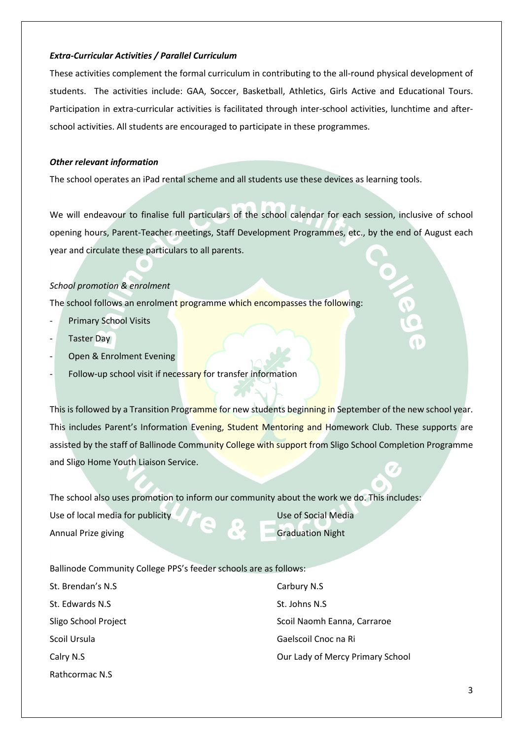#### *Extra-Curricular Activities / Parallel Curriculum*

These activities complement the formal curriculum in contributing to the all-round physical development of students. The activities include: GAA, Soccer, Basketball, Athletics, Girls Active and Educational Tours. Participation in extra-curricular activities is facilitated through inter-school activities, lunchtime and afterschool activities. All students are encouraged to participate in these programmes.

#### *Other relevant information*

The school operates an iPad rental scheme and all students use these devices as learning tools.

We will endeavour to finalise full particulars of the school calendar for each session, inclusive of school opening hours, Parent-Teacher meetings, Staff Development Programmes, etc., by the end of August each year and circulate these particulars to all parents.

#### *School promotion & enrolment*

The school follows an enrolment programme which encompasses the following:

- Primary School Visits
- Taster Day
- Open & Enrolment Evening
- Follow-up school visit if necessary for transfer information

This is followed by a Transition Programme for new students beginning in September of the new school year. This includes Parent's Information Evening, Student Mentoring and Homework Club. These supports are assisted by the staff of Ballinode Community College with support from Sligo School Completion Programme and Sligo Home Youth Liaison Service.

The school also uses promotion to inform our community about the work we do. This includes:

Use of local media for publicity Annual Prize giving

Use of Social Media Graduation Night

Ballinode Community College PPS's feeder schools are as follows:

| St. Brendan's N.S.   | Carbury N.S                      |
|----------------------|----------------------------------|
| St. Edwards N.S.     | St. Johns N.S.                   |
| Sligo School Project | Scoil Naomh Eanna, Carraroe      |
| Scoil Ursula         | Gaelscoil Cnoc na Ri             |
| Calry N.S            | Our Lady of Mercy Primary School |
| Rathcormac N.S       |                                  |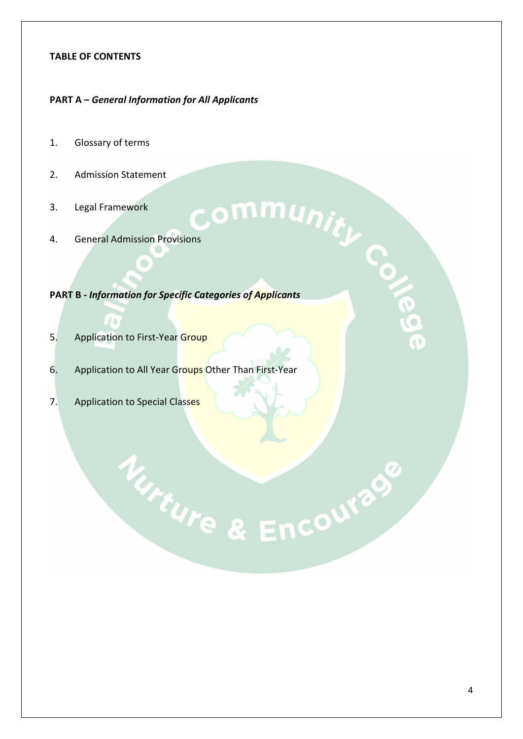#### **TABLE OF CONTENTS**

#### **PART A –** *General Information for All Applicants*

- 1. Glossary of terms
- 2. Admission Statement
- 3. Legal Framework
- 

 $\bigodot$ 

## 2. Admission Statement<br>3. Legal Framework<br>4. General Admission Provisions **PART B -** *Information for Specific Categories of Applicants*

5. Application to First-Year Group

 $\Gamma$ 

6. Application to All Year Groups Other Than First-Year

Ture & Encourage

7. Application to Special Classes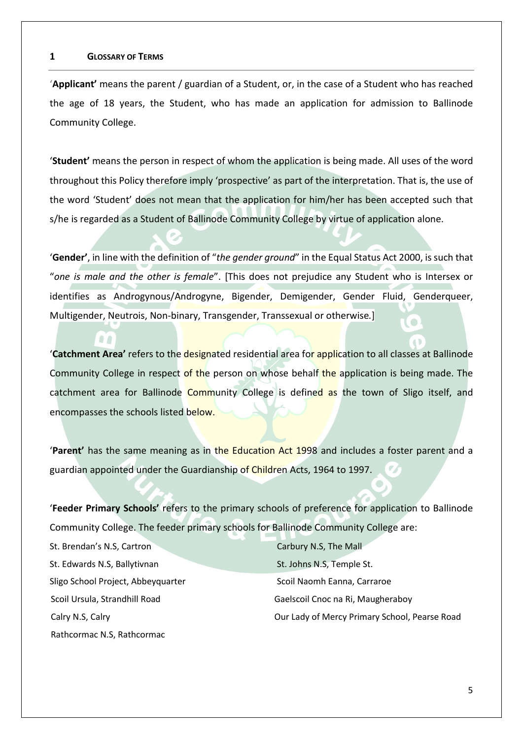#### **1 GLOSSARY OF TERMS**

'**Applicant'** means the parent / guardian of a Student, or, in the case of a Student who has reached the age of 18 years, the Student, who has made an application for admission to Ballinode Community College.

'**Student'** means the person in respect of whom the application is being made. All uses of the word throughout this Policy therefore imply 'prospective' as part of the interpretation. That is, the use of the word 'Student' does not mean that the application for him/her has been accepted such that s/he is regarded as a Student of Ballinode Community College by virtue of application alone.

'**Gender'**, in line with the definition of "*the gender ground*" in the Equal Status Act 2000, is such that "*one is male and the other is female*". [This does not prejudice any Student who is Intersex or identifies as Androgynous/Androgyne, Bigender, Demigender, Gender Fluid, Genderqueer, Multigender, Neutrois, Non-binary, Transgender, Transsexual or otherwise*.*]

'**Catchment Area'** refers to the designated residential area for application to all classes at Ballinode Community College in respect of the person on whose behalf the application is being made. The catchment area for Ballinode Community College is defined as the town of Sligo itself, and encompasses the schools listed below.

'**Parent'** has the same meaning as in the Education Act 1998 and includes a foster parent and a guardian appointed under the Guardianship of Children Acts, 1964 to 1997.

'**Feeder Primary Schools'** refers to the primary schools of preference for application to Ballinode Community College. The feeder primary schools for Ballinode Community College are:

| St. Brendan's N.S, Cartron         | Carbury N.S, The Mall                         |
|------------------------------------|-----------------------------------------------|
| St. Edwards N.S, Ballytivnan       | St. Johns N.S, Temple St.                     |
| Sligo School Project, Abbeyquarter | Scoil Naomh Eanna, Carraroe                   |
| Scoil Ursula, Strandhill Road      | Gaelscoil Cnoc na Ri, Maugheraboy             |
| Calry N.S, Calry                   | Our Lady of Mercy Primary School, Pearse Road |
| Rathcormac N.S, Rathcormac         |                                               |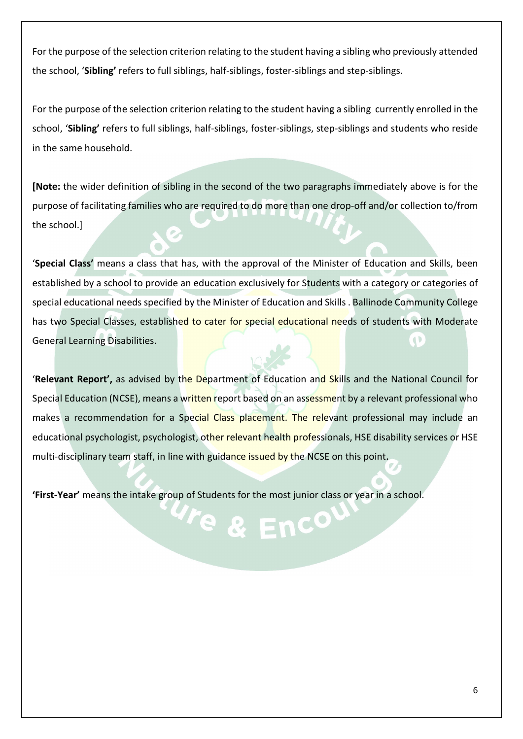For the purpose of the selection criterion relating to the student having a sibling who previously attended the school, '**Sibling'** refers to full siblings, half-siblings, foster-siblings and step-siblings.

For the purpose of the selection criterion relating to the student having a sibling currently enrolled in the school, '**Sibling'** refers to full siblings, half-siblings, foster-siblings, step-siblings and students who reside in the same household.

**[Note:** the wider definition of sibling in the second of the two paragraphs immediately above is for the purpose of facilitating families who are required to do more than one drop-off and/or collection to/from the school.]

'**Special Class'** means a class that has, with the approval of the Minister of Education and Skills, been established by a school to provide an education exclusively for Students with a category or categories of special educational needs specified by the Minister of Education and Skills . Ballinode Community College has two Special Classes, established to cater for special educational needs of students with Moderate General Learning Disabilities.  $\ddot{\phantom{0}}$ 

'**Relevant Report',** as advised by the Department of Education and Skills and the National Council for Special Education (NCSE), means a written report based on an assessment by a relevant professional who makes a recommendation for a Special Class placement. The relevant professional may include an educational psychologist, psychologist, other relevant health professionals, HSE disability services or HSE multi-disciplinary team staff, in line with guidance issued by the NCSE on this point.

Te & Enc<sup>o</sup>

**'First-Year'** means the intake group of Students for the most junior class or year in a school.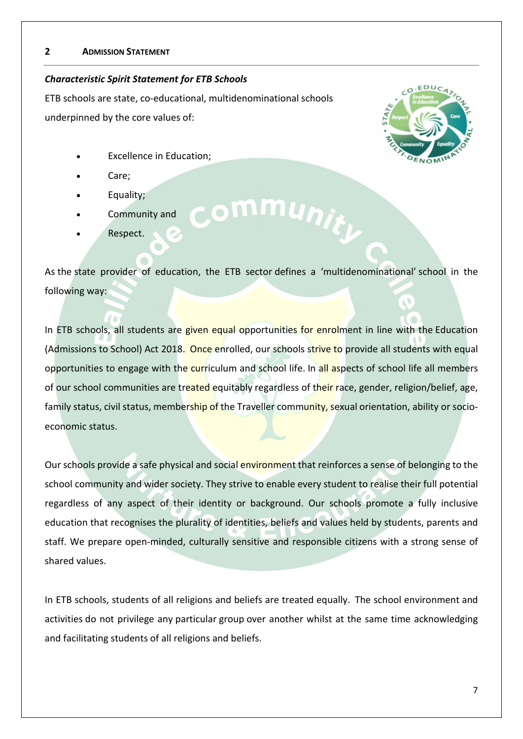#### **2 ADMISSION STATEMENT**

#### *Characteristic Spirit Statement for ETB Schools*

ETB schools are state, co-educational, multidenominational schools  underpinned by the core values of: 

- **Excellence in Education;**
- Care;
- Equality;
- Community and
- Respect.



As the state provider of education, the ETB sector defines a 'multidenominational' school in the following way: 

ommunit<sub>h</sub>

In ETB schools, all students are given equal opportunities for enrolment in line with the Education (Admissions to School) Act 2018.  Once enrolled, our schools strive to provide all students with equal opportunities to engage with the curriculum and school life. In all aspects of school life all members of our school communities are treated equitably regardless of their race, gender, religion/belief, age, family status, civil status, membership of the Traveller community, sexual orientation, ability or socioeconomic status.  

Our schools provide a safe physical and social environment that reinforces a sense of belonging to the school community and wider society. They strive to enable every student to realise their full potential regardless of any aspect of their identity or background. Our schools promote a fully inclusive education that recognises the plurality of identities, beliefs and values held by students, parents and staff. We prepare open-minded, culturally sensitive and responsible citizens with a strong sense of shared values. 

In ETB schools, students of all religions and beliefs are treated equally.  The school environment and activities do not privilege any particular group over another whilst at the same time acknowledging and facilitating students of all religions and beliefs.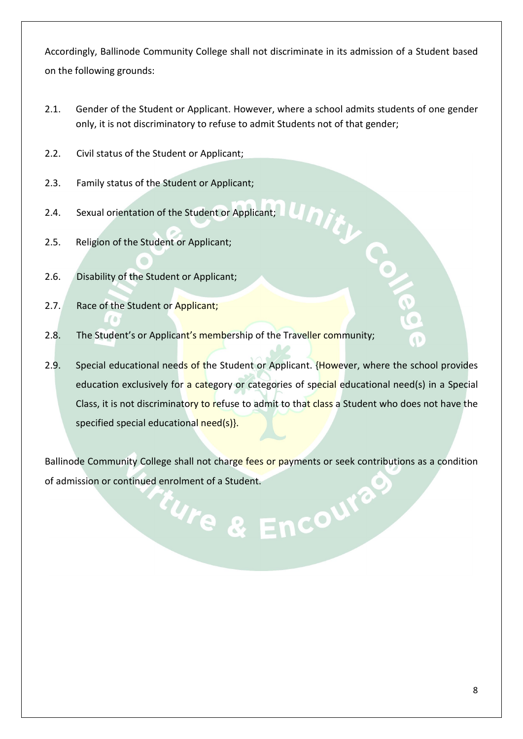Accordingly, Ballinode Community College shall not discriminate in its admission of a Student based on the following grounds:

- 2.1. Gender of the Student or Applicant. However, where a school admits students of one gender only, it is not discriminatory to refuse to admit Students not of that gender;
- 2.2. Civil status of the Student or Applicant;
- 2.3. Family status of the Student or Applicant;
- 2.4. Sexual orientation of the Student or Applicant;
- 2.5. Religion of the Student or Applicant;
- 2.6. Disability of the Student or Applicant;
- 2.7. Race of the Student or Applicant;
- 2.8. The Student's or Applicant's membership of the Traveller community;
- 2.9. Special educational needs of the Student or Applicant. {However, where the school provides education exclusively for a category or categories of special educational need(s) in a Special Class, it is not discriminatory to refuse to admit to that class a Student who does not have the specified special educational need(s).

Ballinode Community College shall not charge fees or payments or seek contributions as a condition of admission or continued enrolment of a Student.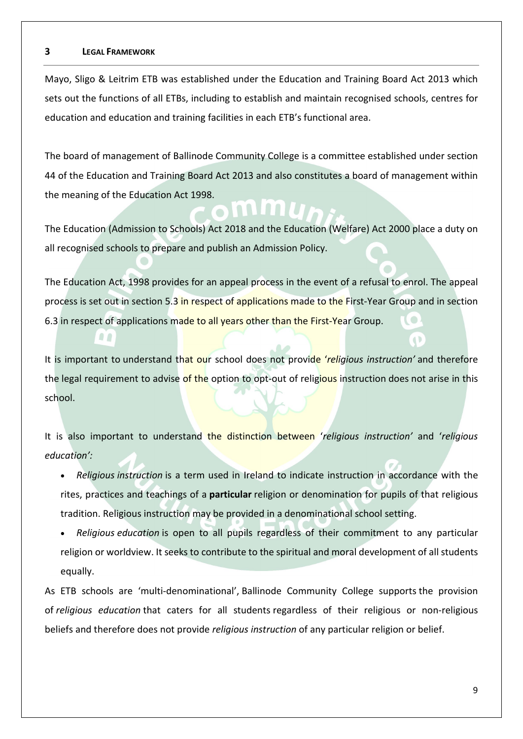#### **3 LEGAL FRAMEWORK**

 $\Omega$ 

Mayo, Sligo & Leitrim ETB was established under the Education and Training Board Act 2013 which sets out the functions of all ETBs, including to establish and maintain recognised schools, centres for education and education and training facilities in each ETB's functional area.

The board of management of Ballinode Community College is a committee established under section 44 of the Education and Training Board Act 2013 and also constitutes a board of management within the meaning of the Education Act 1998.

The Education (Admission to Schools) Act 2018 and the Education (Welfare) Act 2000 place a duty on all recognised schools to prepare and publish an Admission Policy.

The Education Act, 1998 provides for an appeal process in the event of a refusal to enrol. The appeal process is set out in section 5.3 in respect of applications made to the First-Year Group and in section 6.3 in respect of applications made to all years other than the First-Year Group.

It is important to understand that our school does not provide '*religious instruction'* and therefore the legal requirement to advise of the option to opt-out of religious instruction does not arise in this school.

It is also important to understand the distinction between '*religious instruction'* and '*religious education':*

- *Religious instruction* is a term used in Ireland to indicate instruction in accordance with the rites, practices and teachings of a **particular** religion or denomination for pupils of that religious tradition. Religious instruction may be provided in a denominational school setting.
- *Religious education* is open to all pupils regardless of their commitment to any particular religion or worldview. It seeks to contribute to the spiritual and moral development of all students equally.

As ETB schools are 'multi-denominational', Ballinode Community College supports the provision of *religious education* that caters for all students regardless of their religious or non-religious beliefs and therefore does not provide *religious instruction* of any particular religion or belief.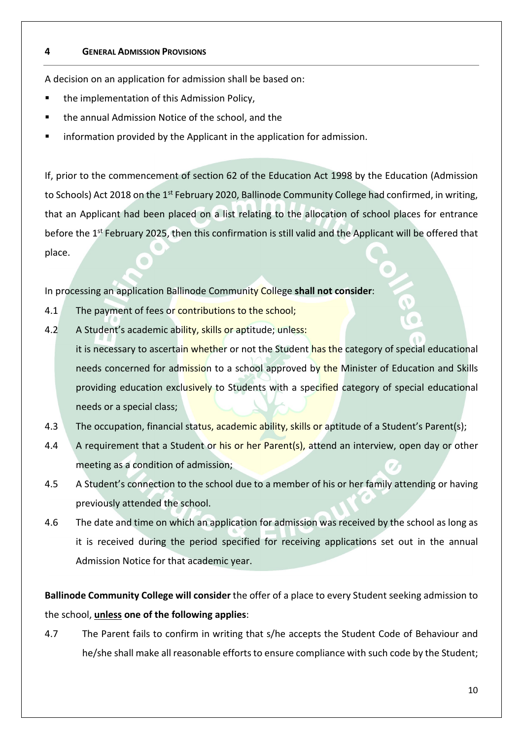#### **4 GENERAL ADMISSION PROVISIONS**

A decision on an application for admission shall be based on:

- the implementation of this Admission Policy,
- the annual Admission Notice of the school, and the
- information provided by the Applicant in the application for admission.

If, prior to the commencement of section 62 of the Education Act 1998 by the Education (Admission to Schools) Act 2018 on the 1<sup>st</sup> February 2020, Ballinode Community College had confirmed, in writing, that an Applicant had been placed on a list relating to the allocation of school places for entrance before the 1<sup>st</sup> February 2025, then this confirmation is still valid and the Applicant will be offered that place.

In processing an application Ballinode Community College **shall not consider**:

- 4.1 The payment of fees or contributions to the school;
- 4.2 A Student's academic ability, skills or aptitude; unless: it is necessary to ascertain whether or not the Student has the category of special educational needs concerned for admission to a school approved by the Minister of Education and Skills providing education exclusively to Students with a specified category of special educational needs or a special class;
- 4.3 The occupation, financial status, academic ability, skills or aptitude of a Student's Parent(s);
- 4.4 A requirement that a Student or his or her Parent(s), attend an interview, open day or other meeting as a condition of admission;
- 4.5 A Student's connection to the school due to a member of his or her family attending or having previously attended the school.
- 4.6 The date and time on which an application for admission was received by the school as long as it is received during the period specified for receiving applications set out in the annual Admission Notice for that academic year.

**Ballinode Community College will consider** the offer of a place to every Student seeking admission to the school, **unless one of the following applies**:

4.7 The Parent fails to confirm in writing that s/he accepts the Student Code of Behaviour and he/she shall make all reasonable efforts to ensure compliance with such code by the Student;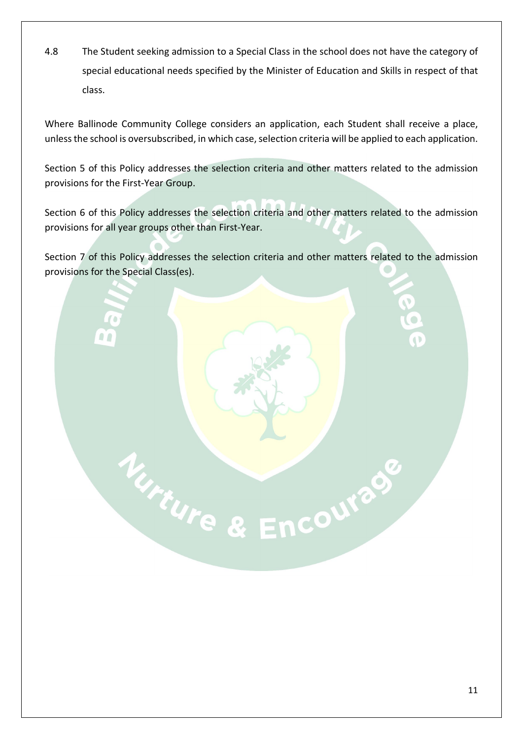4.8 The Student seeking admission to a Special Class in the school does not have the category of special educational needs specified by the Minister of Education and Skills in respect of that class.

Where Ballinode Community College considers an application, each Student shall receive a place, unless the school is oversubscribed, in which case, selection criteria will be applied to each application.

Section 5 of this Policy addresses the selection criteria and other matters related to the admission provisions for the First-Year Group.

Section 6 of this Policy addresses the selection criteria and other matters related to the admission provisions for all year groups other than First-Year.

Section 7 of this Policy addresses the selection criteria and other matters related to the admission provisions for the Special Class(es).

Mure & Encourage

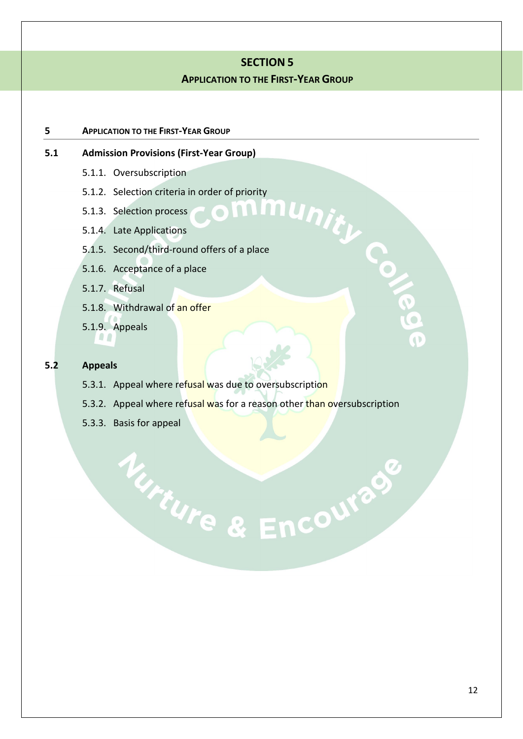#### **SECTION 5**

#### **APPLICATION TO THE FIRST-YEAR GROUP**

#### **5 APPLICATION TO THE FIRST-YEAR GROUP**

# **5.1.1.** Oversubscription<br> **5.1.2.** Selection criteria in order of priority<br> **5.1.3.** Selection process<br> **5.1.4.** Late Applications<br> **1.4.** Late Applications

- 5.1.1. Oversubscription
- 5.1.2. Selection criteria in order of priority

 $\bigcirc$ 

- 5.1.3. Selection process
- 5.1.4. Late Applications
- 5.1.5. Second/third-round offers of a place
- 5.1.6. Acceptance of a place
- 5.1.7. Refusal
- 5.1.8. Withdrawal of an offer
- 5.1.9. Appeals

 $\Omega$ 

#### **5.2 Appeals**

- 5.3.1. Appeal where refusal was due to oversubscription
- 5.3.2. Appeal where refusal was for a reason other than oversubscription

Nurre & Encourage

5.3.3. Basis for appeal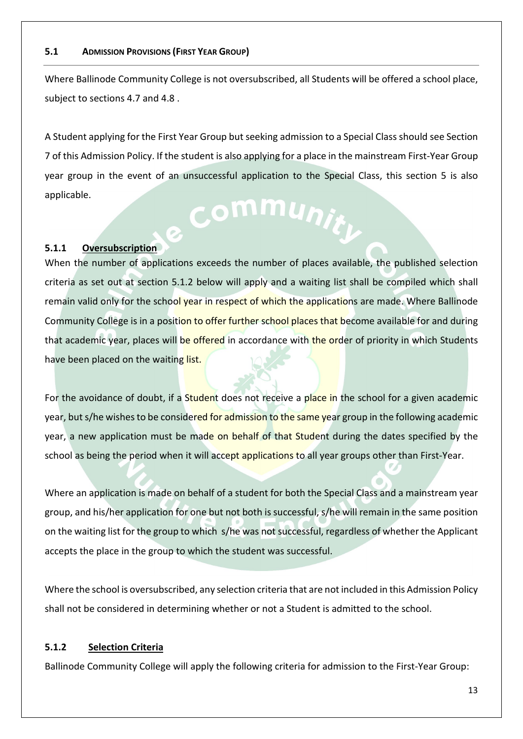#### **5.1 ADMISSION PROVISIONS (FIRST YEAR GROUP)**

Where Ballinode Community College is not oversubscribed, all Students will be offered a school place, subject to sections 4.7 and 4.8 .

A Student applying for the First Year Group but seeking admission to a Special Class should see Section 7 of this Admission Policy. If the student is also applying for a place in the mainstream First-Year Group year group in the event of an unsuccessful application to the Special Class, this section 5 is also applicable. Communiti

#### **5.1.1 Oversubscription**

When the number of applications exceeds the number of places available, the published selection criteria as set out at section 5.1.2 below will apply and a waiting list shall be compiled which shall remain valid only for the school year in respect of which the applications are made. Where Ballinode Community College is in a position to offer further school places that become available for and during that academic year, places will be offered in accordance with the order of priority in which Students have been placed on the waiting list.

For the avoidance of doubt, if a Student does not receive a place in the school for a given academic year, but s/he wishes to be considered for admission to the same year group in the following academic year, a new application must be made on behalf of that Student during the dates specified by the school as being the period when it will accept applications to all year groups other than First-Year.

Where an application is made on behalf of a student for both the Special Class and a mainstream year group, and his/her application for one but not both is successful, s/he will remain in the same position on the waiting list for the group to which s/he was not successful, regardless of whether the Applicant accepts the place in the group to which the student was successful.

Where the school is oversubscribed, any selection criteria that are not included in this Admission Policy shall not be considered in determining whether or not a Student is admitted to the school.

#### **5.1.2 Selection Criteria**

Ballinode Community College will apply the following criteria for admission to the First-Year Group: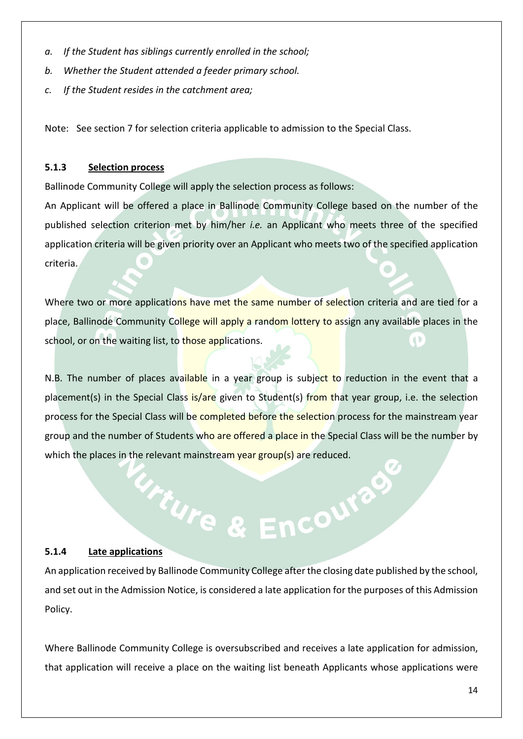- *a. If the Student has siblings currently enrolled in the school;*
- *b. Whether the Student attended a feeder primary school.*
- *c. If the Student resides in the catchment area;*

Note: See section 7 for selection criteria applicable to admission to the Special Class.

#### **5.1.3 Selection process**

Ballinode Community College will apply the selection process as follows:

An Applicant will be offered a place in Ballinode Community College based on the number of the published selection criterion met by him/her *i.e.* an Applicant who meets three of the specified application criteria will be given priority over an Applicant who meets two of the specified application criteria.

Where two or more applications have met the same number of selection criteria and are tied for a place, Ballinode Community College will apply a random lottery to assign any available places in the school, or on the waiting list, to those applications.  $\ddot{\bullet}$ 

N.B. The number of places available in a year group is subject to reduction in the event that a placement(s) in the Special Class is/are given to Student(s) from that year group, i.e. the selection process for the Special Class will be completed before the selection process for the mainstream year group and the number of Students who are offered a place in the Special Class will be the number by which the places in the relevant mainstream year group(s) are reduced.

#### **5.1.4 Late applications**

An application received by Ballinode Community College after the closing date published by the school, and set out in the Admission Notice, is considered a late application for the purposes of this Admission Policy.

*Urture & Encouved* 

Where Ballinode Community College is oversubscribed and receives a late application for admission, that application will receive a place on the waiting list beneath Applicants whose applications were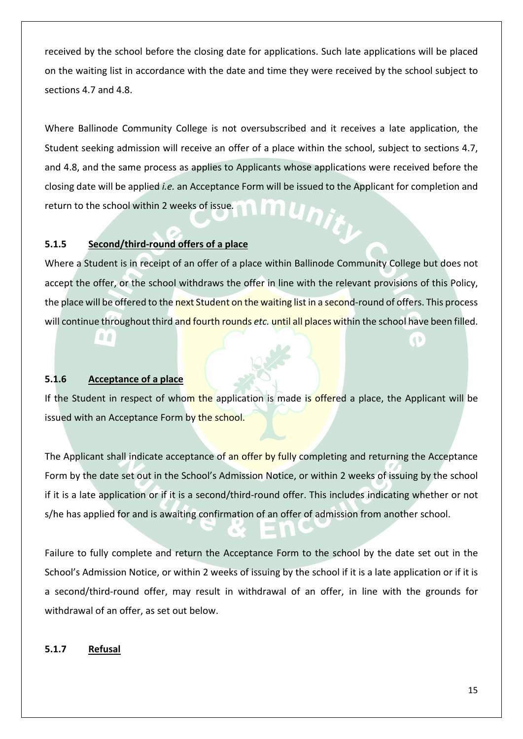received by the school before the closing date for applications. Such late applications will be placed on the waiting list in accordance with the date and time they were received by the school subject to sections 4.7 and 4.8.

Where Ballinode Community College is not oversubscribed and it receives a late application, the Student seeking admission will receive an offer of a place within the school, subject to sections 4.7, and 4.8, and the same process as applies to Applicants whose applications were received before the closing date will be applied *i.e.* an Acceptance Form will be issued to the Applicant for completion and nu<sub>nit</sub> return to the school within 2 weeks of issue*.*

#### **5.1.5 Second/third-round offers of a place**

Where a Student is in receipt of an offer of a place within Ballinode Community College but does not accept the offer, or the school withdraws the offer in line with the relevant provisions of this Policy, the place will be offered to the next Student on the waiting list in a second-round of offers. This process will continue throughout third and fourth rounds *etc.* until all places within the school have been filled.

#### **5.1.6 Acceptance of a place**

 $\Omega$ 

If the Student in respect of whom the application is made is offered a place, the Applicant will be issued with an Acceptance Form by the school.

The Applicant shall indicate acceptance of an offer by fully completing and returning the Acceptance Form by the date set out in the School's Admission Notice, or within 2 weeks of issuing by the school if it is a late application or if it is a second/third-round offer. This includes indicating whether or not s/he has applied for and is awaiting confirmation of an offer of admission from another school.

Failure to fully complete and return the Acceptance Form to the school by the date set out in the School's Admission Notice, or within 2 weeks of issuing by the school if it is a late application or if it is a second/third-round offer, may result in withdrawal of an offer, in line with the grounds for withdrawal of an offer, as set out below.

#### **5.1.7 Refusal**

 $\ddot{\phantom{0}}$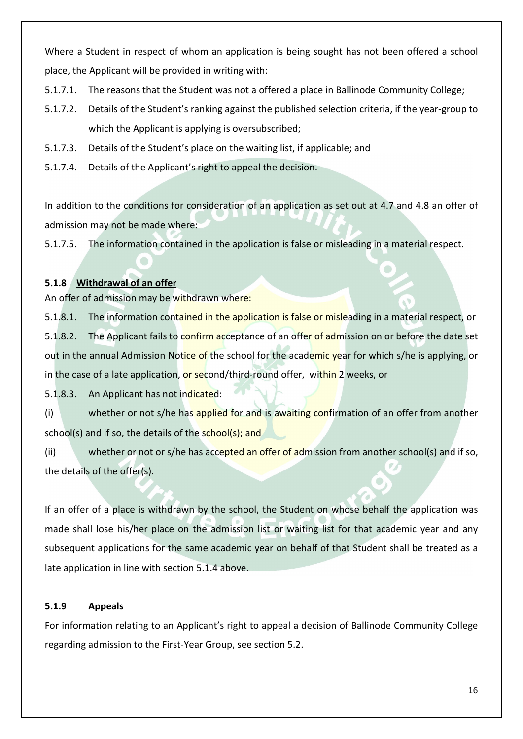Where a Student in respect of whom an application is being sought has not been offered a school place, the Applicant will be provided in writing with:

- 5.1.7.1. The reasons that the Student was not a offered a place in Ballinode Community College;
- 5.1.7.2. Details of the Student's ranking against the published selection criteria, if the year-group to which the Applicant is applying is oversubscribed;
- 5.1.7.3. Details of the Student's place on the waiting list, if applicable; and
- 5.1.7.4. Details of the Applicant's right to appeal the decision.

In addition to the conditions for consideration of an application as set out at 4.7 and 4.8 an offer of admission may not be made where:

5.1.7.5. The information contained in the application is false or misleading in a material respect.

#### **5.1.8 Withdrawal of an offer**

An offer of admission may be withdrawn where:

5.1.8.1. The information contained in the application is false or misleading in a material respect, or 5.1.8.2. The Applicant fails to confirm acceptance of an offer of admission on or before the date set out in the annual Admission Notice of the school for the academic year for which s/he is applying, or in the case of a late application, or second/third-round offer, within 2 weeks, or

5.1.8.3. An Applicant has not indicated:

(i) whether or not s/he has applied for and is awaiting confirmation of an offer from another school(s) and if so, the details of the school(s); and

(ii) whether or not or s/he has accepted an offer of admission from another school(s) and if so, the details of the offer(s).

If an offer of a place is withdrawn by the school, the Student on whose behalf the application was made shall lose his/her place on the admission list or waiting list for that academic year and any subsequent applications for the same academic year on behalf of that Student shall be treated as a late application in line with section 5.1.4 above.

#### **5.1.9 Appeals**

For information relating to an Applicant's right to appeal a decision of Ballinode Community College regarding admission to the First-Year Group, see section 5.2.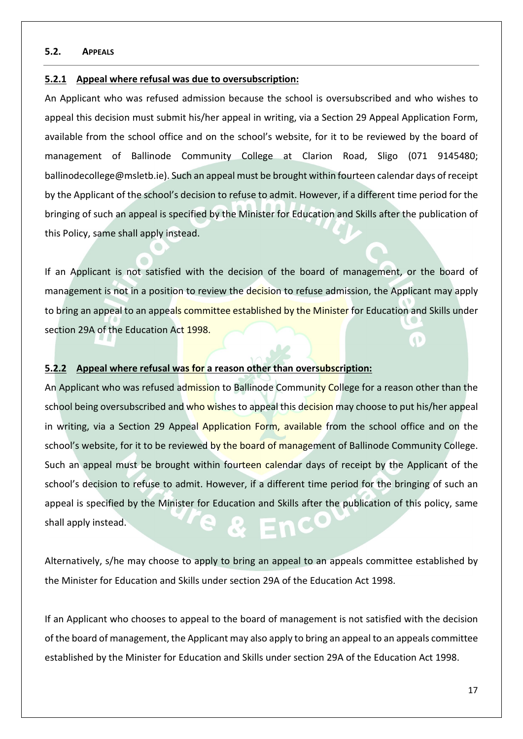#### **5.2. APPEALS**

#### **5.2.1 Appeal where refusal was due to oversubscription:**

An Applicant who was refused admission because the school is oversubscribed and who wishes to appeal this decision must submit his/her appeal in writing, via a Section 29 Appeal Application Form, available from the school office and on the school's website, for it to be reviewed by the board of management of Ballinode Community College at Clarion Road, Sligo (071 9145480; ballinodecollege@msletb.ie). Such an appeal must be brought within fourteen calendar days of receipt by the Applicant of the school's decision to refuse to admit. However, if a different time period for the bringing of such an appeal is specified by the Minister for Education and Skills after the publication of this Policy, same shall apply instead.

If an Applicant is not satisfied with the decision of the board of management, or the board of management is not in a position to review the decision to refuse admission, the Applicant may apply to bring an appeal to an appeals committee established by the Minister for Education and Skills under section 29A of the Education Act 1998.

#### **5.2.2 Appeal where refusal was for a reason other than oversubscription:**

An Applicant who was refused admission to Ballinode Community College for a reason other than the school being oversubscribed and who wishes to appeal this decision may choose to put his/her appeal in writing, via a Section 29 Appeal Application Form, available from the school office and on the school's website, for it to be reviewed by the board of management of Ballinode Community College. Such an appeal must be brought within fourteen calendar days of receipt by the Applicant of the school's decision to refuse to admit. However, if a different time period for the bringing of such an appeal is specified by the Minister for Education and Skills after the publication of this policy, same shall apply instead.

Alternatively, s/he may choose to apply to bring an appeal to an appeals committee established by the Minister for Education and Skills under section 29A of the Education Act 1998.

If an Applicant who chooses to appeal to the board of management is not satisfied with the decision of the board of management, the Applicant may also apply to bring an appeal to an appeals committee established by the Minister for Education and Skills under section 29A of the Education Act 1998.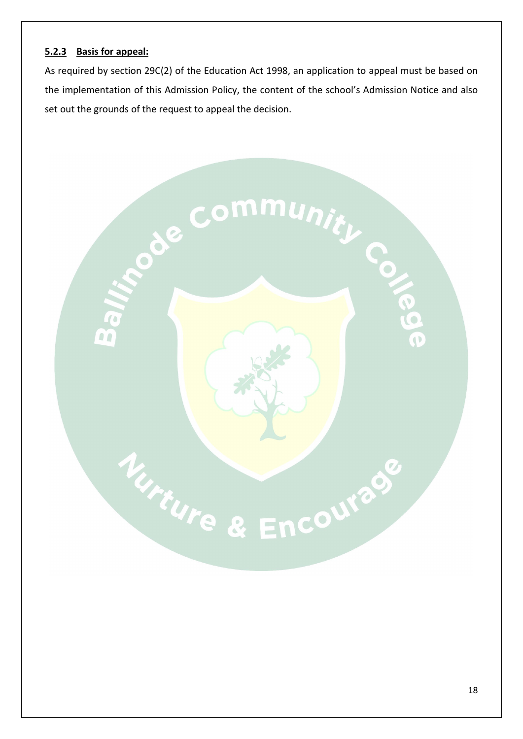#### **5.2.3 Basis for appeal:**

As required by section 29C(2) of the Education Act 1998, an application to appeal must be based on the implementation of this Admission Policy, the content of the school's Admission Notice and also set out the grounds of the request to appeal the decision.

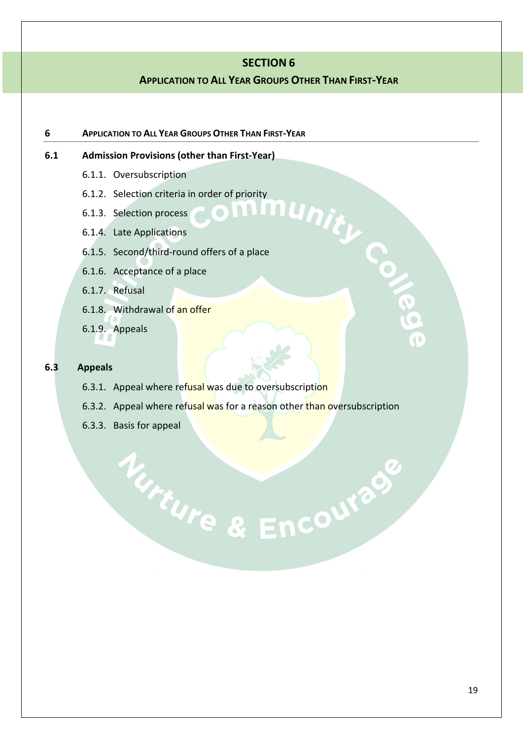#### **SECTION 6**

#### **APPLICATION TO ALL YEAR GROUPS OTHER THAN FIRST-YEAR**

unity Co

#### **6 APPLICATION TO ALL YEAR GROUPS OTHER THAN FIRST-YEAR**

#### **6.1 Admission Provisions (other than First-Year)**

- 6.1.1. Oversubscription
- 6.1.2. Selection criteria in order of priority

 $\begin{array}{c} \bullet \\ \bullet \end{array}$ 

- 6.1.3. Selection process
- 6.1.4. Late Applications
- 6.1.5. Second/third-round offers of a place
- 6.1.6. Acceptance of a place
- 6.1.7. Refusal
- 6.1.8. Withdrawal of an offer
- 6.1.9. Appeals

#### **6.3 Appeals**

- 6.3.1. Appeal where refusal was due to oversubscription
- 6.3.2. Appeal where refusal was for a reason other than oversubscription

Nurre & Encourage

6.3.3. Basis for appeal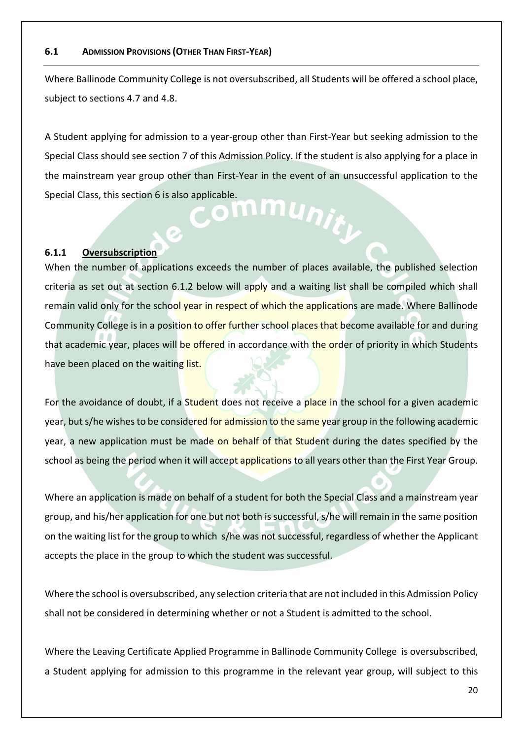#### **6.1 ADMISSION PROVISIONS (OTHER THAN FIRST-YEAR)**

Where Ballinode Community College is not oversubscribed, all Students will be offered a school place, subject to sections 4.7 and 4.8.

A Student applying for admission to a year-group other than First-Year but seeking admission to the Special Class should see section 7 of this Admission Policy. If the student is also applying for a place in the mainstream year group other than First-Year in the event of an unsuccessful application to the Special Class, this section 6 is also applicable. nmunit<sub>k</sub>

#### **6.1.1 Oversubscription**

When the number of applications exceeds the number of places available, the published selection criteria as set out at section 6.1.2 below will apply and a waiting list shall be compiled which shall remain valid only for the school year in respect of which the applications are made. Where Ballinode Community College is in a position to offer further school places that become available for and during that academic year, places will be offered in accordance with the order of priority in which Students have been placed on the waiting list.

For the avoidance of doubt, if a Student does not receive a place in the school for a given academic year, but s/he wishes to be considered for admission to the same year group in the following academic year, a new application must be made on behalf of that Student during the dates specified by the school as being the period when it will accept applications to all years other than the First Year Group.

Where an application is made on behalf of a student for both the Special Class and a mainstream year group, and his/her application for one but not both is successful, s/he will remain in the same position on the waiting list for the group to which s/he was not successful, regardless of whether the Applicant accepts the place in the group to which the student was successful.

Where the school is oversubscribed, any selection criteria that are not included in this Admission Policy shall not be considered in determining whether or not a Student is admitted to the school.

Where the Leaving Certificate Applied Programme in Ballinode Community College is oversubscribed, a Student applying for admission to this programme in the relevant year group, will subject to this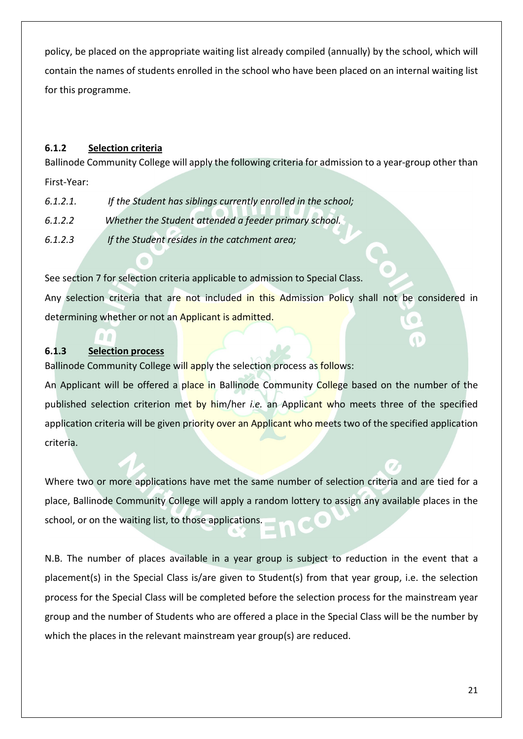policy, be placed on the appropriate waiting list already compiled (annually) by the school, which will contain the names of students enrolled in the school who have been placed on an internal waiting list for this programme.

#### **6.1.2 Selection criteria**

Ballinode Community College will apply the following criteria for admission to a year-group other than First-Year:

- *6.1.2.1. If the Student has siblings currently enrolled in the school;*
- *6.1.2.2 Whether the Student attended a feeder primary school.*
- *6.1.2.3 If the Student resides in the catchment area;*

See section 7 for selection criteria applicable to admission to Special Class. Any selection criteria that are not included in this Admission Policy shall not be considered in determining whether or not an Applicant is admitted.

#### **6.1.3 Selection process**

Ballinode Community College will apply the selection process as follows:

An Applicant will be offered a place in Ballinode Community College based on the number of the published selection criterion met by him/her *i.e.* an Applicant who meets three of the specified application criteria will be given priority over an Applicant who meets two of the specified application criteria.

Where two or more applications have met the same number of selection criteria and are tied for a place, Ballinode Community College will apply a random lottery to assign any available places in the school, or on the waiting list, to those applications.

N.B. The number of places available in a year group is subject to reduction in the event that a placement(s) in the Special Class is/are given to Student(s) from that year group, i.e. the selection process for the Special Class will be completed before the selection process for the mainstream year group and the number of Students who are offered a place in the Special Class will be the number by which the places in the relevant mainstream year group(s) are reduced.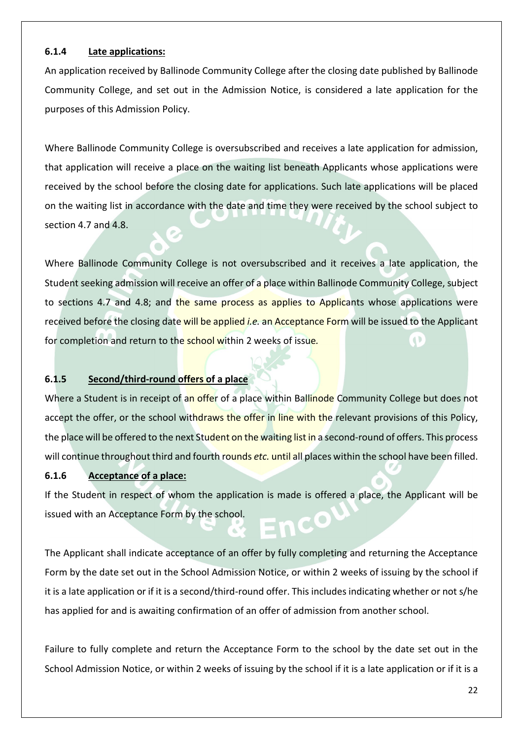#### **6.1.4 Late applications:**

An application received by Ballinode Community College after the closing date published by Ballinode Community College, and set out in the Admission Notice, is considered a late application for the purposes of this Admission Policy.

Where Ballinode Community College is oversubscribed and receives a late application for admission, that application will receive a place on the waiting list beneath Applicants whose applications were received by the school before the closing date for applications. Such late applications will be placed on the waiting list in accordance with the date and time they were received by the school subject to section 4.7 and 4.8.

Where Ballinode Community College is not oversubscribed and it receives a late application, the Student seeking admission will receive an offer of a place within Ballinode Community College, subject to sections 4.7 and 4.8; and the same process as applies to Applicants whose applications were received before the closing date will be applied *i.e.* an Acceptance Form will be issued to the Applicant for completion and return to the school within 2 weeks of issue*.* 

#### **6.1.5 Second/third-round offers of a place**

Where a Student is in receipt of an offer of a place within Ballinode Community College but does not accept the offer, or the school withdraws the offer in line with the relevant provisions of this Policy, the place will be offered to the next Student on the waiting list in a second-round of offers. This process will continue throughout third and fourth rounds *etc.* until all places within the school have been filled.

#### **6.1.6 Acceptance of a place:**

If the Student in respect of whom the application is made is offered a place, the Applicant will be issued with an Acceptance Form by the school.

The Applicant shall indicate acceptance of an offer by fully completing and returning the Acceptance Form by the date set out in the School Admission Notice, or within 2 weeks of issuing by the school if it is a late application or if it is a second/third-round offer. This includes indicating whether or not s/he has applied for and is awaiting confirmation of an offer of admission from another school.

Failure to fully complete and return the Acceptance Form to the school by the date set out in the School Admission Notice, or within 2 weeks of issuing by the school if it is a late application or if it is a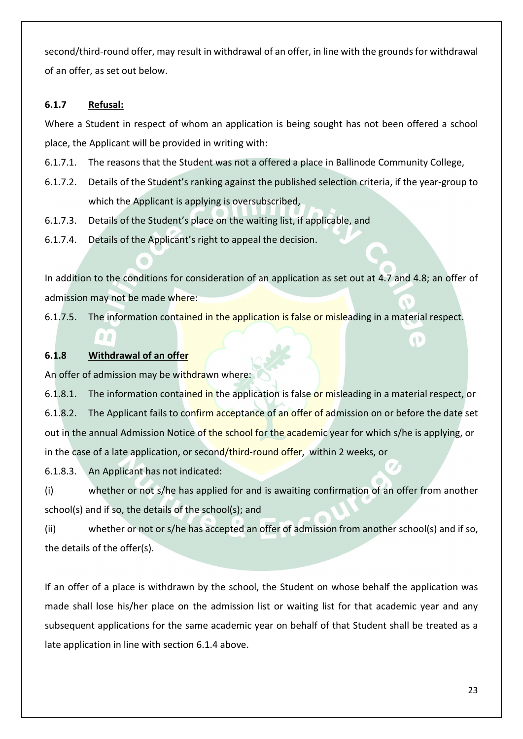second/third-round offer, may result in withdrawal of an offer, in line with the grounds for withdrawal of an offer, as set out below.

#### **6.1.7 Refusal:**

Where a Student in respect of whom an application is being sought has not been offered a school place, the Applicant will be provided in writing with:

- 6.1.7.1. The reasons that the Student was not a offered a place in Ballinode Community College,
- 6.1.7.2. Details of the Student's ranking against the published selection criteria, if the year-group to which the Applicant is applying is oversubscribed,
- 6.1.7.3. Details of the Student's place on the waiting list, if applicable, and
- 6.1.7.4. Details of the Applicant's right to appeal the decision.

In addition to the conditions for consideration of an application as set out at 4.7 and 4.8; an offer of admission may not be made where:

6.1.7.5. The information contained in the application is false or misleading in a material respect.

#### **6.1.8 Withdrawal of an offer**

00

An offer of admission may be withdrawn where:

6.1.8.1. The information contained in the application is false or misleading in a material respect, or 6.1.8.2. The Applicant fails to confirm acceptance of an offer of admission on or before the date set out in the annual Admission Notice of the school for the academic year for which s/he is applying, or in the case of a late application, or second/third-round offer, within 2 weeks, or

6.1.8.3. An Applicant has not indicated:

(i) whether or not s/he has applied for and is awaiting confirmation of an offer from another school(s) and if so, the details of the school(s); and

(ii) whether or not or s/he has accepted an offer of admission from another school(s) and if so, the details of the offer(s).

If an offer of a place is withdrawn by the school, the Student on whose behalf the application was made shall lose his/her place on the admission list or waiting list for that academic year and any subsequent applications for the same academic year on behalf of that Student shall be treated as a late application in line with section 6.1.4 above.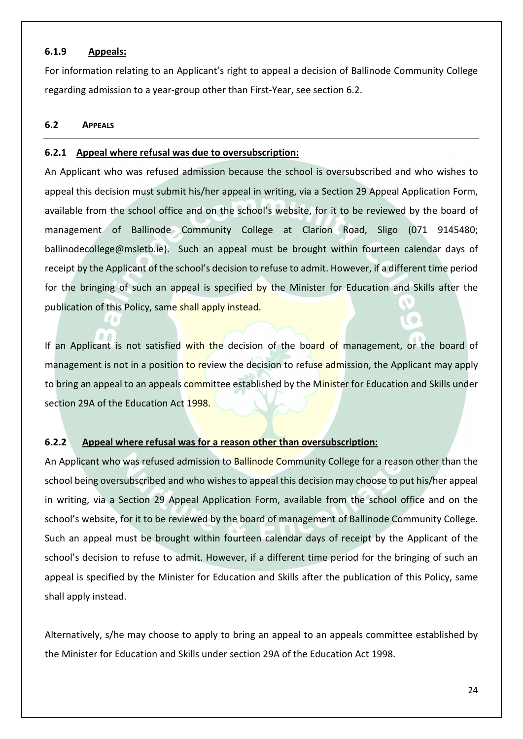#### **6.1.9 Appeals:**

For information relating to an Applicant's right to appeal a decision of Ballinode Community College regarding admission to a year-group other than First-Year, see section 6.2.

#### **6.2 APPEALS**

#### **6.2.1 Appeal where refusal was due to oversubscription:**

An Applicant who was refused admission because the school is oversubscribed and who wishes to appeal this decision must submit his/her appeal in writing, via a Section 29 Appeal Application Form, available from the school office and on the school's website, for it to be reviewed by the board of management of Ballinode Community College at Clarion Road, Sligo (071 9145480; ballinodecollege@msletb.ie). Such an appeal must be brought within fourteen calendar days of receipt by the Applicant of the school's decision to refuse to admit. However, if a different time period for the bringing of such an appeal is specified by the Minister for Education and Skills after the publication of this Policy, same shall apply instead.

If an Applicant is not satisfied with the decision of the board of management, or the board of management is not in a position to review the decision to refuse admission, the Applicant may apply to bring an appeal to an appeals committee established by the Minister for Education and Skills under section 29A of the Education Act 1998.

#### **6.2.2 Appeal where refusal was for a reason other than oversubscription:**

An Applicant who was refused admission to Ballinode Community College for a reason other than the school being oversubscribed and who wishes to appeal this decision may choose to put his/her appeal in writing, via a Section 29 Appeal Application Form, available from the school office and on the school's website, for it to be reviewed by the board of management of Ballinode Community College. Such an appeal must be brought within fourteen calendar days of receipt by the Applicant of the school's decision to refuse to admit. However, if a different time period for the bringing of such an appeal is specified by the Minister for Education and Skills after the publication of this Policy, same shall apply instead.

Alternatively, s/he may choose to apply to bring an appeal to an appeals committee established by the Minister for Education and Skills under section 29A of the Education Act 1998.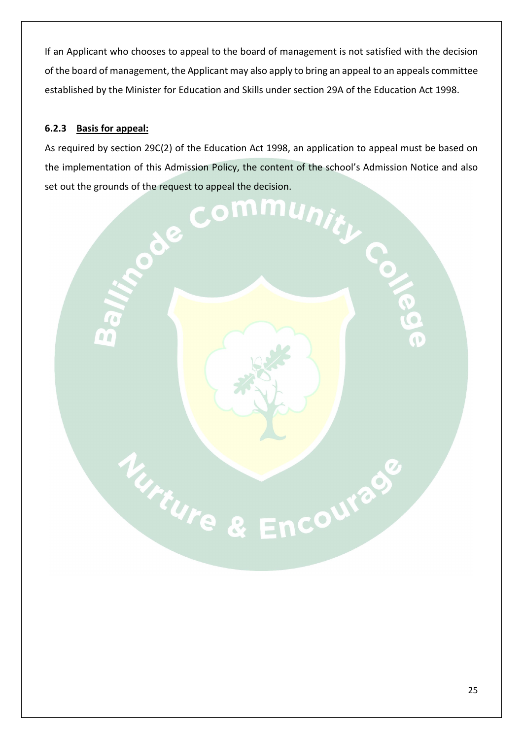If an Applicant who chooses to appeal to the board of management is not satisfied with the decision of the board of management, the Applicant may also apply to bring an appeal to an appeals committee established by the Minister for Education and Skills under section 29A of the Education Act 1998.

#### **6.2.3 Basis for appeal:**

As required by section 29C(2) of the Education Act 1998, an application to appeal must be based on the implementation of this Admission Policy, the content of the school's Admission Notice and also

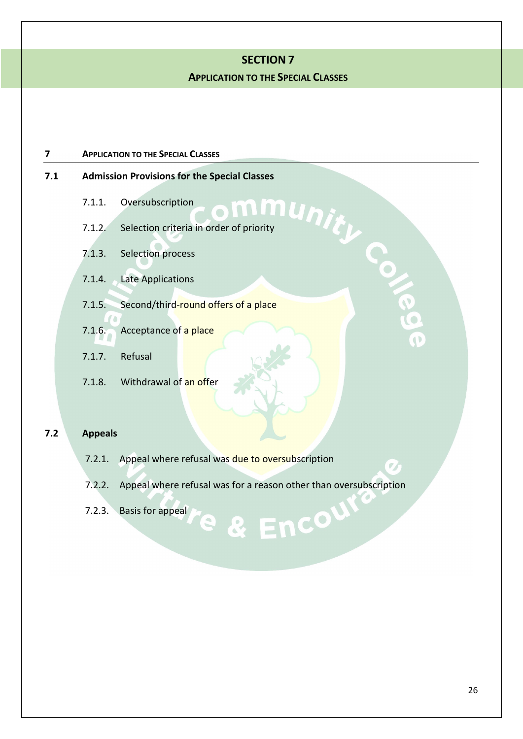#### **SECTION 7**

#### **APPLICATION TO THE SPECIAL CLASSES**

#### **7 APPLICATION TO THE SPECIAL CLASSES**

# **7.1.1.** Admission Provisions for the Special Classes<br>
7.1.1. Oversubscription<br>
7.1.2. Selection criteria in order of priority<br>
The Special Classes

- 7.1.1. Oversubscription
- 7.1.2. Selection criteria in order of priority
- 7.1.3. Selection process
- 7.1.4. Late Applications
- 7.1.5. Second/third-round offers of a place
- 7.1.6. Acceptance of a place
- 7.1.7. Refusal
- 7.1.8. Withdrawal of an offer

#### **7.2 Appeals**

- 7.2.1. Appeal where refusal was due to oversubscription
- 7.2.2. Appeal where refusal was for a reason other than oversubscription

& Encour

7.2.3. Basis for appeal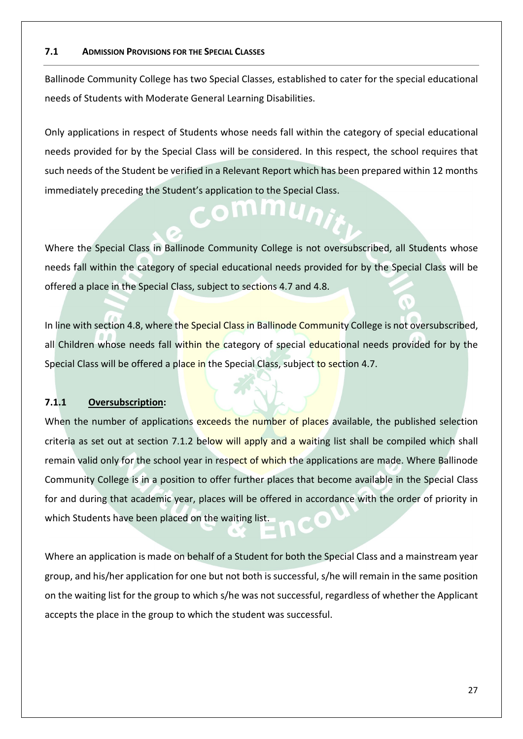#### **7.1 ADMISSION PROVISIONS FOR THE SPECIAL CLASSES**

Ballinode Community College has two Special Classes, established to cater for the special educational needs of Students with Moderate General Learning Disabilities.

Only applications in respect of Students whose needs fall within the category of special educational needs provided for by the Special Class will be considered. In this respect, the school requires that such needs of the Student be verified in a Relevant Report which has been prepared within 12 months immediately preceding the Student's application to the Special Class.

**IMMU** 

Where the Special Class in Ballinode Community College is not oversubscribed, all Students whose needs fall within the category of special educational needs provided for by the Special Class will be offered a place in the Special Class, subject to sections 4.7 and 4.8.

In line with section 4.8, where the Special Class in Ballinode Community College is not oversubscribed, all Children whose needs fall within the category of special educational needs provided for by the Special Class will be offered a place in the Special Class, subject to section 4.7.

#### **7.1.1 Oversubscription:**

When the number of applications exceeds the number of places available, the published selection criteria as set out at section 7.1.2 below will apply and a waiting list shall be compiled which shall remain valid only for the school year in respect of which the applications are made. Where Ballinode Community College is in a position to offer further places that become available in the Special Class for and during that academic year, places will be offered in accordance with the order of priority in which Students have been placed on the waiting list.

Where an application is made on behalf of a Student for both the Special Class and a mainstream year group, and his/her application for one but not both is successful, s/he will remain in the same position on the waiting list for the group to which s/he was not successful, regardless of whether the Applicant accepts the place in the group to which the student was successful.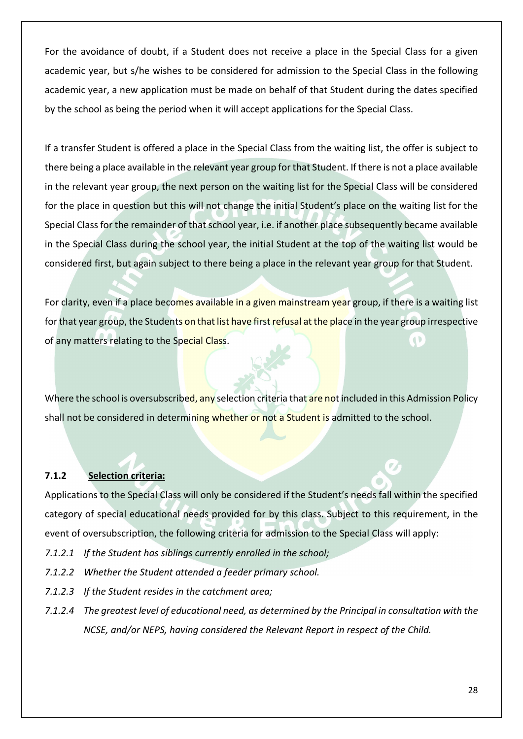For the avoidance of doubt, if a Student does not receive a place in the Special Class for a given academic year, but s/he wishes to be considered for admission to the Special Class in the following academic year, a new application must be made on behalf of that Student during the dates specified by the school as being the period when it will accept applications for the Special Class.

If a transfer Student is offered a place in the Special Class from the waiting list, the offer is subject to there being a place available in the relevant year group for that Student. If there is not a place available in the relevant year group, the next person on the waiting list for the Special Class will be considered for the place in question but this will not change the initial Student's place on the waiting list for the Special Class for the remainder of that school year, i.e. if another place subsequently became available in the Special Class during the school year, the initial Student at the top of the waiting list would be considered first, but again subject to there being a place in the relevant year group for that Student.

For clarity, even if a place becomes available in a given mainstream year group, if there is a waiting list for that year group, the Students on that list have first refusal at the place in the year group irrespective of any matters relating to the Special Class.

Where the school is oversubscribed, any selection criteria that are not included in this Admission Policy shall not be considered in determining whether or not a Student is admitted to the school.

#### **7.1.2 Selection criteria:**

Applications to the Special Class will only be considered if the Student's needs fall within the specified category of special educational needs provided for by this class. Subject to this requirement, in the event of oversubscription, the following criteria for admission to the Special Class will apply:

- *7.1.2.1 If the Student has siblings currently enrolled in the school;*
- *7.1.2.2 Whether the Student attended a feeder primary school.*
- *7.1.2.3 If the Student resides in the catchment area;*
- *7.1.2.4 The greatest level of educational need, as determined by the Principal in consultation with the NCSE, and/or NEPS, having considered the Relevant Report in respect of the Child.*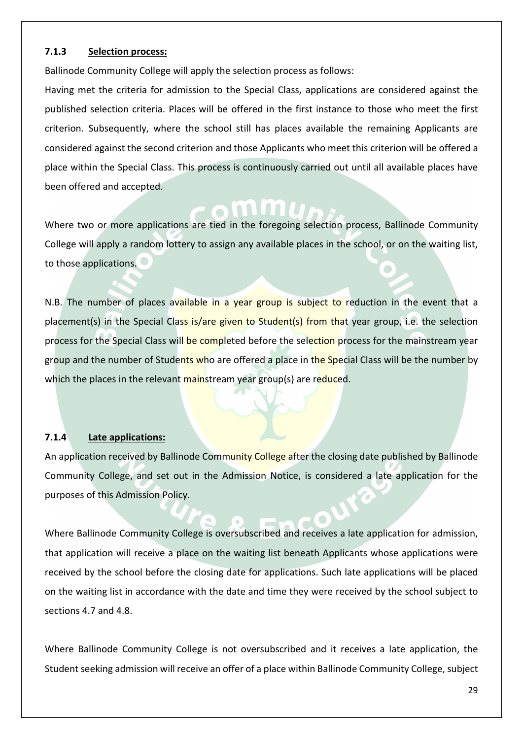#### **7.1.3 Selection process:**

Ballinode Community College will apply the selection process as follows:

Having met the criteria for admission to the Special Class, applications are considered against the published selection criteria. Places will be offered in the first instance to those who meet the first criterion. Subsequently, where the school still has places available the remaining Applicants are considered against the second criterion and those Applicants who meet this criterion will be offered a place within the Special Class. This process is continuously carried out until all available places have been offered and accepted.

Where two or more applications are tied in the foregoing selection process, Ballinode Community College will apply a random lottery to assign any available places in the school, or on the waiting list, to those applications.

N.B. The number of places available in a year group is subject to reduction in the event that a placement(s) in the Special Class is/are given to Student(s) from that year group, i.e. the selection process for the Special Class will be completed before the selection process for the mainstream year group and the number of Students who are offered a place in the Special Class will be the number by which the places in the relevant mainstream year group(s) are reduced.

#### **7.1.4 Late applications:**

An application received by Ballinode Community College after the closing date published by Ballinode Community College, and set out in the Admission Notice, is considered a late application for the purposes of this Admission Policy.

Where Ballinode Community College is oversubscribed and receives a late application for admission, that application will receive a place on the waiting list beneath Applicants whose applications were received by the school before the closing date for applications. Such late applications will be placed on the waiting list in accordance with the date and time they were received by the school subject to sections 4.7 and 4.8.

Where Ballinode Community College is not oversubscribed and it receives a late application, the Student seeking admission will receive an offer of a place within Ballinode Community College, subject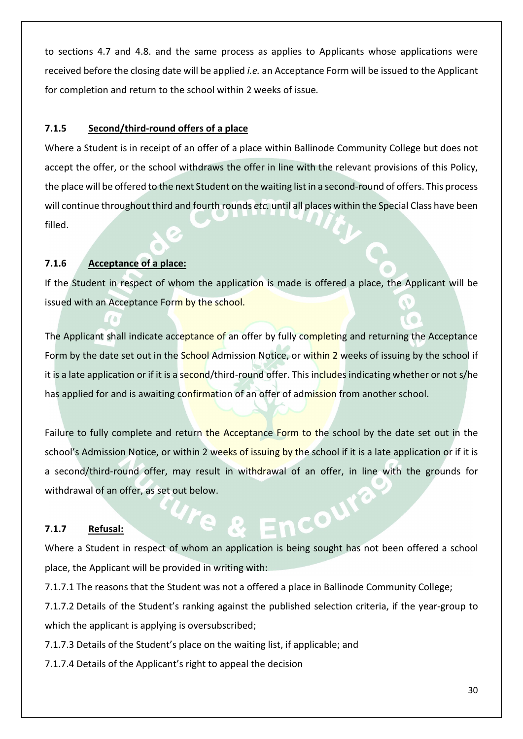to sections 4.7 and 4.8. and the same process as applies to Applicants whose applications were received before the closing date will be applied *i.e.* an Acceptance Form will be issued to the Applicant for completion and return to the school within 2 weeks of issue*.* 

#### **7.1.5 Second/third-round offers of a place**

Where a Student is in receipt of an offer of a place within Ballinode Community College but does not accept the offer, or the school withdraws the offer in line with the relevant provisions of this Policy, the place will be offered to the next Student on the waiting list in a second-round of offers. This process will continue throughout third and fourth rounds *etc.* until all places within the Special Class have been filled.

#### **7.1.6 Acceptance of a place:**

If the Student in respect of whom the application is made is offered a place, the Applicant will be issued with an Acceptance Form by the school.

The Applicant shall indicate acceptance of an offer by fully completing and returning the Acceptance Form by the date set out in the School Admission Notice, or within 2 weeks of issuing by the school if it is a late application or if it is a second/third-round offer. This includes indicating whether or not s/he has applied for and is awaiting confirmation of an offer of admission from another school.

Failure to fully complete and return the Acceptance Form to the school by the date set out in the school's Admission Notice, or within 2 weeks of issuing by the school if it is a late application or if it is a second/third-round offer, may result in withdrawal of an offer, in line with the grounds for withdrawal of an offer, as set out below.

#### **7.1.7 Refusal:**

Where a Student in respect of whom an application is being sought has not been offered a school place, the Applicant will be provided in writing with:

 $\mathbf{C}^{\mathbf{O}}$ 

7.1.7.1 The reasons that the Student was not a offered a place in Ballinode Community College;

7.1.7.2 Details of the Student's ranking against the published selection criteria, if the year-group to which the applicant is applying is oversubscribed;

7.1.7.3 Details of the Student's place on the waiting list, if applicable; and

7.1.7.4 Details of the Applicant's right to appeal the decision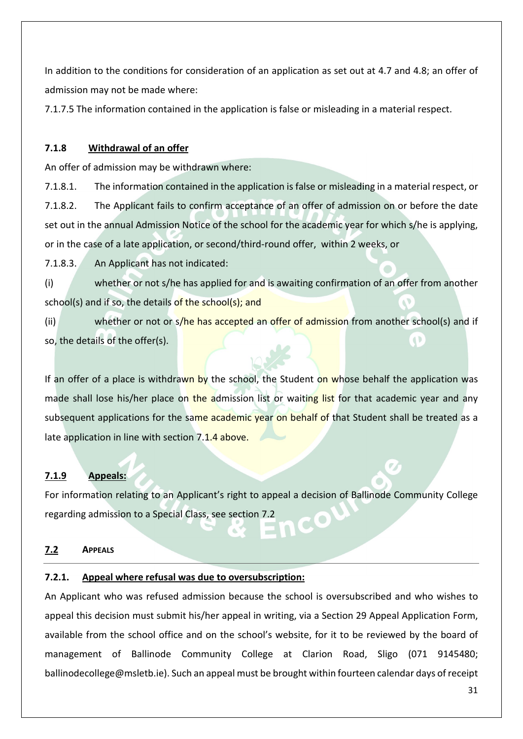In addition to the conditions for consideration of an application as set out at 4.7 and 4.8; an offer of admission may not be made where:

7.1.7.5 The information contained in the application is false or misleading in a material respect.

#### **7.1.8 Withdrawal of an offer**

An offer of admission may be withdrawn where:

7.1.8.1. The information contained in the application is false or misleading in a material respect, or 7.1.8.2. The Applicant fails to confirm acceptance of an offer of admission on or before the date set out in the annual Admission Notice of the school for the academic year for which s/he is applying, or in the case of a late application, or second/third-round offer, within 2 weeks, or

7.1.8.3. An Applicant has not indicated:

(i) whether or not s/he has applied for and is awaiting confirmation of an offer from another school(s) and if so, the details of the school(s); and

(ii) whether or not or s/he has accepted an offer of admission from another school(s) and if so, the details of the offer(s).  $\left( \begin{array}{c} 1 \end{array} \right)$ 

If an offer of a place is withdrawn by the school, the Student on whose behalf the application was made shall lose his/her place on the admission list or waiting list for that academic year and any subsequent applications for the same academic year on behalf of that Student shall be treated as a late application in line with section 7.1.4 above.

#### **7.1.9 Appeals:**

For information relating to an Applicant's right to appeal a decision of Ballinode Community College regarding admission to a Special Class, see section 7.2

#### **7.2 APPEALS**

#### **7.2.1. Appeal where refusal was due to oversubscription:**

An Applicant who was refused admission because the school is oversubscribed and who wishes to appeal this decision must submit his/her appeal in writing, via a Section 29 Appeal Application Form, available from the school office and on the school's website, for it to be reviewed by the board of management of Ballinode Community College at Clarion Road, Sligo (071 9145480; ballinodecollege@msletb.ie). Such an appeal must be brought within fourteen calendar days of receipt